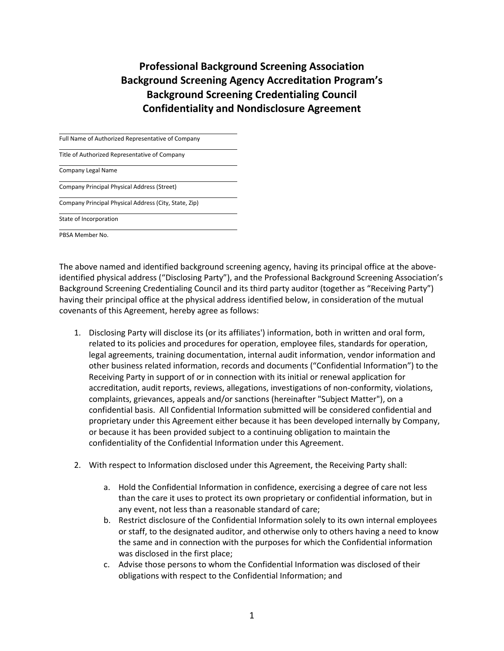**Professional Background Screening Association Background Screening Agency Accreditation Program's Background Screening Credentialing Council Confidentiality and Nondisclosure Agreement**

| Full Name of Authorized Representative of Company     |  |
|-------------------------------------------------------|--|
| Title of Authorized Representative of Company         |  |
| Company Legal Name                                    |  |
| Company Principal Physical Address (Street)           |  |
| Company Principal Physical Address (City, State, Zip) |  |
| State of Incorporation                                |  |
| PBSA Member No.                                       |  |

The above named and identified background screening agency, having its principal office at the aboveidentified physical address ("Disclosing Party"), and the Professional Background Screening Association's Background Screening Credentialing Council and its third party auditor (together as "Receiving Party") having their principal office at the physical address identified below, in consideration of the mutual covenants of this Agreement, hereby agree as follows:

- 1. Disclosing Party will disclose its (or its affiliates') information, both in written and oral form, related to its policies and procedures for operation, employee files, standards for operation, legal agreements, training documentation, internal audit information, vendor information and other business related information, records and documents ("Confidential Information") to the Receiving Party in support of or in connection with its initial or renewal application for accreditation, audit reports, reviews, allegations, investigations of non-conformity, violations, complaints, grievances, appeals and/or sanctions (hereinafter "Subject Matter"), on a confidential basis. All Confidential Information submitted will be considered confidential and proprietary under this Agreement either because it has been developed internally by Company, or because it has been provided subject to a continuing obligation to maintain the confidentiality of the Confidential Information under this Agreement.
- 2. With respect to Information disclosed under this Agreement, the Receiving Party shall:
	- a. Hold the Confidential Information in confidence, exercising a degree of care not less than the care it uses to protect its own proprietary or confidential information, but in any event, not less than a reasonable standard of care;
	- b. Restrict disclosure of the Confidential Information solely to its own internal employees or staff, to the designated auditor, and otherwise only to others having a need to know the same and in connection with the purposes for which the Confidential information was disclosed in the first place;
	- c. Advise those persons to whom the Confidential Information was disclosed of their obligations with respect to the Confidential Information; and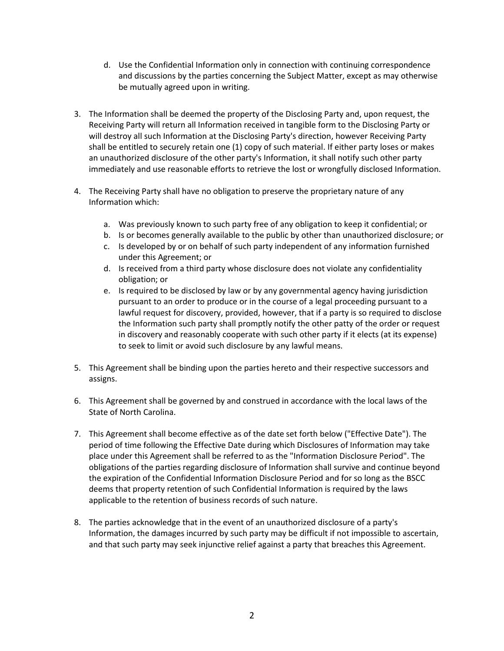- d. Use the Confidential Information only in connection with continuing correspondence and discussions by the parties concerning the Subject Matter, except as may otherwise be mutually agreed upon in writing.
- 3. The Information shall be deemed the property of the Disclosing Party and, upon request, the Receiving Party will return all Information received in tangible form to the Disclosing Party or will destroy all such Information at the Disclosing Party's direction, however Receiving Party shall be entitled to securely retain one (1) copy of such material. If either party loses or makes an unauthorized disclosure of the other party's Information, it shall notify such other party immediately and use reasonable efforts to retrieve the lost or wrongfully disclosed Information.
- 4. The Receiving Party shall have no obligation to preserve the proprietary nature of any Information which:
	- a. Was previously known to such party free of any obligation to keep it confidential; or
	- b. Is or becomes generally available to the public by other than unauthorized disclosure; or
	- c. Is developed by or on behalf of such party independent of any information furnished under this Agreement; or
	- d. Is received from a third party whose disclosure does not violate any confidentiality obligation; or
	- e. Is required to be disclosed by law or by any governmental agency having jurisdiction pursuant to an order to produce or in the course of a legal proceeding pursuant to a lawful request for discovery, provided, however, that if a party is so required to disclose the Information such party shall promptly notify the other patty of the order or request in discovery and reasonably cooperate with such other party if it elects (at its expense) to seek to limit or avoid such disclosure by any lawful means.
- 5. This Agreement shall be binding upon the parties hereto and their respective successors and assigns.
- 6. This Agreement shall be governed by and construed in accordance with the local laws of the State of North Carolina.
- 7. This Agreement shall become effective as of the date set forth below ("Effective Date"). The period of time following the Effective Date during which Disclosures of Information may take place under this Agreement shall be referred to as the "Information Disclosure Period". The obligations of the parties regarding disclosure of Information shall survive and continue beyond the expiration of the Confidential Information Disclosure Period and for so long as the BSCC deems that property retention of such Confidential Information is required by the laws applicable to the retention of business records of such nature.
- 8. The parties acknowledge that in the event of an unauthorized disclosure of a party's Information, the damages incurred by such party may be difficult if not impossible to ascertain, and that such party may seek injunctive relief against a party that breaches this Agreement.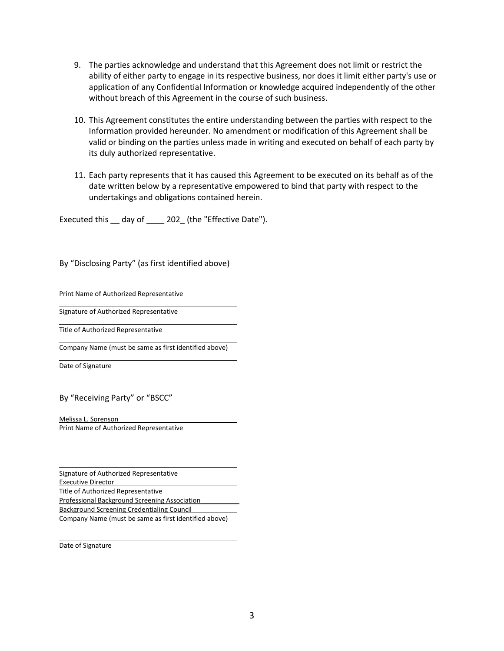- 9. The parties acknowledge and understand that this Agreement does not limit or restrict the ability of either party to engage in its respective business, nor does it limit either party's use or application of any Confidential Information or knowledge acquired independently of the other without breach of this Agreement in the course of such business.
- 10. This Agreement constitutes the entire understanding between the parties with respect to the Information provided hereunder. No amendment or modification of this Agreement shall be valid or binding on the parties unless made in writing and executed on behalf of each party by its duly authorized representative.
- 11. Each party represents that it has caused this Agreement to be executed on its behalf as of the date written below by a representative empowered to bind that party with respect to the undertakings and obligations contained herein.

Executed this \_\_ day of \_\_\_\_ 202\_ (the "Effective Date").

By "Disclosing Party" (as first identified above)

Print Name of Authorized Representative

Signature of Authorized Representative

Title of Authorized Representative

Company Name (must be same as first identified above)

Date of Signature

## By "Receiving Party" or "BSCC"

Melissa L. Sorenson Print Name of Authorized Representative

Signature of Authorized Representative Executive Director Title of Authorized Representative Professional Background Screening Association \_\_\_\_\_\_\_\_\_\_ Background Screening Credentialing Council Company Name (must be same as first identified above)

Date of Signature